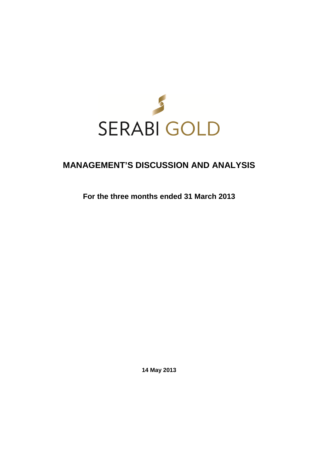

# **MANAGEMENT'S DISCUSSION AND ANALYSIS**

**For the three months ended 31 March 2013** 

**14 May 2013**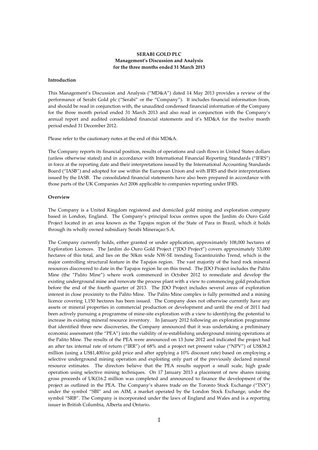# **SERABI GOLD PLC Management's Discussion and Analysis for the three months ended 31 March 2013**

## **Introduction**

This Management's Discussion and Analysis ("MD&A") dated 14 May 2013 provides a review of the performance of Serabi Gold plc ("Serabi" or the "Company"). It includes financial information from, and should be read in conjunction with, the unaudited condensed financial information of the Company for the three month period ended 31 March 2013 and also read in conjunction with the Company's annual report and audited consolidated financial statements and it's MD&A for the twelve month period ended 31 December 2012.

Please refer to the cautionary notes at the end of this MD&A.

The Company reports its financial position, results of operations and cash flows in United States dollars (unless otherwise stated) and in accordance with International Financial Reporting Standards ("IFRS") in force at the reporting date and their interpretations issued by the International Accounting Standards Board ("IASB") and adopted for use within the European Union and with IFRS and their interpretations issued by the IASB. The consolidated financial statements have also been prepared in accordance with those parts of the UK Companies Act 2006 applicable to companies reporting under IFRS.

## **Overview**

The Company is a United Kingdom registered and domiciled gold mining and exploration company based in London, England. The Company's principal focus centres upon the Jardim do Ouro Gold Project located in an area known as the Tapajos region of the State of Para in Brazil, which it holds through its wholly owned subsidiary Serabi Mineraçao S.A.

The Company currently holds, either granted or under application, approximately 108,000 hectares of Exploration Licences. The Jardim do Ouro Gold Project ("JDO Project") covers approximately 53,000 hectares of this total, and lies on the 50km wide NW-SE trending Tocantinzinho Trend, which is the major controlling structural feature in the Tapajos region. The vast majority of the hard rock mineral resources discovered to date in the Tapajos region lie on this trend. The JDO Project includes the Palito Mine (the "Palito Mine") where work commenced in October 2012 to remediate and develop the existing underground mine and renovate the process plant with a view to commencing gold production before the end of the fourth quarter of 2013. The JDO Project includes several areas of exploration interest in close proximity to the Palito Mine. The Palito Mine complex is fully permitted and a mining licence covering 1,150 hectares has been issued. The Company does not otherwise currently have any assets or mineral properties in commercial production or development and until the end of 2011 had been actively pursuing a programme of mine-site exploration with a view to identifying the potential to increase its existing mineral resource inventory. In January 2012 following an exploration programme that identified three new discoveries, the Company announced that it was undertaking a preliminary economic assessment (the "PEA") into the viability of re-establishing underground mining operations at the Palito Mine. The results of the PEA were announced on 13 June 2012 and indicated the project had an after tax internal rate of return ("IRR") of 68% and a project net present value ("NPV") of US\$38.2 million (using a US\$1,400/oz gold price and after applying a 10% discount rate) based on employing a selective underground mining operation and exploiting only part of the previously declared mineral resource estimates. The directors believe that the PEA results support a small scale, high grade operation using selective mining techniques. On 17 January 2013 a placement of new shares raising gross proceeds of UK£16.2 million was completed and announced to finance the development of the project as outlined in the PEA. The Company's shares trade on the Toronto Stock Exchange ("TSX") under the symbol "SBI" and on AIM, a market operated by the London Stock Exchange, under the symbol "SRB". The Company is incorporated under the laws of England and Wales and is a reporting issuer in British Columbia, Alberta and Ontario.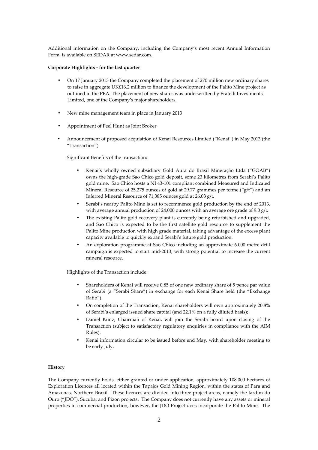Additional information on the Company, including the Company's most recent Annual Information Form, is available on SEDAR at www.sedar.com.

## **Corporate Highlights - for the last quarter**

- On 17 January 2013 the Company completed the placement of 270 million new ordinary shares to raise in aggregate UK£16.2 million to finance the development of the Palito Mine project as outlined in the PEA. The placement of new shares was underwritten by Fratelli Investments Limited, one of the Company's major shareholders.
- New mine management team in place in January 2013
- Appointment of Peel Hunt as Joint Broker
- Announcement of proposed acquisition of Kenai Resources Limited ("Kenai") in May 2013 (the "Transaction")

Significant Benefits of the transaction:

- Kenai's wholly owned subsidiary Gold Aura do Brasil Mineração Ltda ("GOAB") owns the high-grade Sao Chico gold deposit, some 23 kilometres from Serabi's Palito gold mine. Sao Chico hosts a NI 43-101 compliant combined Measured and Indicated Mineral Resource of 25,275 ounces of gold at 29.77 grammes per tonne ("g/t") and an Inferred Mineral Resource of 71,385 ounces gold at 26.03 g/t.
- Serabi's nearby Palito Mine is set to recommence gold production by the end of 2013, with average annual production of 24,000 ounces with an average ore grade of 9.0 g/t.
- The existing Palito gold recovery plant is currently being refurbished and upgraded, and Sao Chico is expected to be the first satellite gold resource to supplement the Palito Mine production with high grade material, taking advantage of the excess plant capacity available to quickly expand Serabi's future gold production.
- An exploration programme at Sao Chico including an approximate 6,000 metre drill campaign is expected to start mid-2013, with strong potential to increase the current mineral resource.

Highlights of the Transaction include:

- Shareholders of Kenai will receive 0.85 of one new ordinary share of 5 pence par value of Serabi (a "Serabi Share") in exchange for each Kenai Share held (the "Exchange Ratio").
- On completion of the Transaction, Kenai shareholders will own approximately 20.8% of Serabi's enlarged issued share capital (and 22.1% on a fully diluted basis);
- Daniel Kunz, Chairman of Kenai, will join the Serabi board upon closing of the Transaction (subject to satisfactory regulatory enquiries in compliance with the AIM Rules).
- Kenai information circular to be issued before end May, with shareholder meeting to be early July.

## **History**

The Company currently holds, either granted or under application, approximately 108,000 hectares of Exploration Licences all located within the Tapajos Gold Mining Region, within the states of Para and Amazonas, Northern Brazil. These licences are divided into three project areas, namely the Jardim do Ouro ("JDO"), Sucuba, and Pizon projects. The Company does not currently have any assets or mineral properties in commercial production, however, the JDO Project does incorporate the Palito Mine. The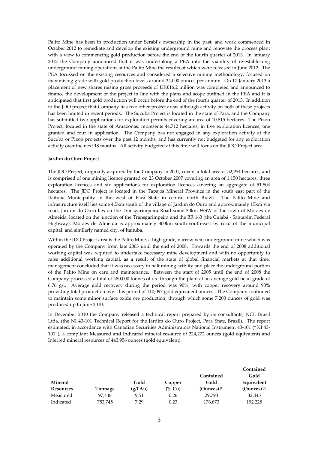Palito Mine has been in production under Serabi's ownership in the past, and work commenced in October 2012 to remediate and develop the existing underground mine and renovate the process plant with a view to commencing gold production before the end of the fourth quarter of 2013. In January 2012 the Company announced that it was undertaking a PEA into the viability of re-establishing underground mining operations at the Palito Mine the results of which were released in June 2012. The PEA focussed on the existing resources and considered a selective mining methodology, focused on maximising grade with gold production levels around 24,000 ounces per annum. On 17 January 2013 a placement of new shares raising gross proceeds of UK£16.2 million was completed and announced to finance the development of the project in line with the plans and scope outlined in the PEA and it is anticipated that first gold production will occur before the end of the fourth quarter of 2013. In addition to the JDO project that Company has two other project areas although activity on both of these projects has been limited in recent periods. The Sucuba Project is located in the state of Para, and the Company has submitted two applications for exploration permits covering an area of 10,815 hectares. The Pizon Project, located in the state of Amazonas, represents 44,712 hectares, in five exploration licences, one granted and four in application. The Company has not engaged in any exploration activity at the Sucuba or Pizon projects over the past 12 months, and has currently not budgeted for any exploration activity over the next 18 months. All activity budgeted at this time will focus on the JDO Project area.

## **Jardim do Ouro Project**

The JDO Project, originally acquired by the Company in 2001, covers a total area of 52,954 hectares, and is comprised of one mining licence granted on 23 October 2007 covering an area of 1,150 hectares, three exploration licences and six applications for exploration licences covering an aggregate of 51,804 hectares. The JDO Project is located in the Tapajós Mineral Province in the south east part of the Itaituba Municipality in the west of Pará State in central north Brazil. The Palito Mine and infrastructure itself lies some 4.5km south of the village of Jardim do Ouro and approximately 15km via road. Jardim do Ouro lies on the Transgarimpeira Road some 30km WSW of the town of Moraes de Almeida, located on the junction of the Transgarimpeira and the BR 163 (the Cuiabá - Santarém Federal Highway). Moraes de Almeida is approximately 300km south south-east by road of the municipal capital, and similarly named city, of Itaituba.

Within the JDO Project area is the Palito Mine, a high grade, narrow vein underground mine which was operated by the Company from late 2003 until the end of 2008. Towards the end of 2008 additional working capital was required to undertake necessary mine development and with no opportunity to raise additional working capital, as a result of the state of global financial markets at that time, management concluded that it was necessary to halt mining activity and place the underground portion of the Palito Mine on care and maintenance. Between the start of 2005 until the end of 2008 the Company processed a total of 480,000 tonnes of ore through the plant at an average gold head grade of 6.76 g/t. Average gold recovery during the period was 90%, with copper recovery around 93% providing total production over this period of 110,097 gold equivalent ounces. The Company continued to maintain some minor surface oxide ore production, through which some 7,200 ounces of gold was produced up to June 2010.

In December 2010 the Company released a technical report prepared by its consultants, NCL Brasil Ltda, (the NI 43-101 Technical Report for the Jardim do Ouro Project, Para State, Brazil). The report estimated, in accordance with Canadian Securities Administrators National Instrument 43-101 ("NI 43- 101"), a compliant Measured and Indicated mineral resource of 224,272 ounces (gold equivalent) and Inferred mineral resources of 443,956 ounces (gold equivalent).

|           |         |                    |                  | Contained        | Contained<br>Gold |
|-----------|---------|--------------------|------------------|------------------|-------------------|
| Mineral   |         | Gold               | Copper           | Gold             | Equivalent        |
| Resources | Tonnage | $(g/t \text{ Au})$ | $\frac{6}{6}$ Cu | $(Qunces)^{(1)}$ | (Ounces) $(2)$    |
| Measured  | 97.448  | 9.51               | 0.26             | 29.793           | 32,045            |
| Indicated | 753,745 | 7.29               | 0.23             | 176,673          | 192,228           |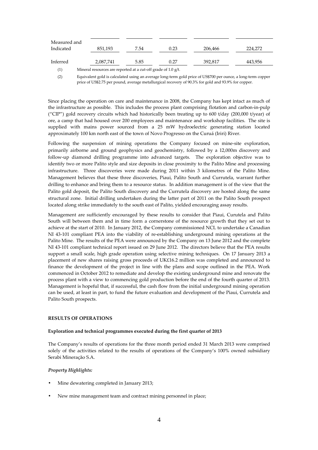| Measured and |           |      |      |         |         |
|--------------|-----------|------|------|---------|---------|
| Indicated    | 851,193   | 7.54 | 0.23 | 206,466 | 224.272 |
|              |           |      |      |         |         |
| Inferred     | 2,087,741 | 5.85 | 0.27 | 392.817 | 443,956 |

(1) Mineral resources are reported at a cut-off grade of 1.0 g/t.

(2) Equivalent gold is calculated using an average long-term gold price of US\$700 per ounce, a long-term copper price of US\$2.75 per pound, average metallurgical recovery of 90.3% for gold and 93.9% for copper.

Since placing the operation on care and maintenance in 2008, the Company has kept intact as much of the infrastructure as possible. This includes the process plant comprising flotation and carbon-in-pulp ("CIP") gold recovery circuits which had historically been treating up to 600 t/day (200,000 t/year) of ore, a camp that had housed over 200 employees and maintenance and workshop facilities. The site is supplied with mains power sourced from a 25 mW hydroelectric generating station located approximately 100 km north east of the town of Novo Progresso on the Curuá (Iriri) River.

Following the suspension of mining operations the Company focused on mine-site exploration, primarily airborne and ground geophysics and geochemistry, followed by a 12,000m discovery and follow-up diamond drilling programme into advanced targets. The exploration objective was to identify two or more Palito style and size deposits in close proximity to the Palito Mine and processing infrastructure. Three discoveries were made during 2011 within 3 kilometres of the Palito Mine. Management believes that these three discoveries, Piaui, Palito South and Currutela, warrant further drilling to enhance and bring them to a resource status. In addition management is of the view that the Palito gold deposit, the Palito South discovery and the Currutela discovery are hosted along the same structural zone. Initial drilling undertaken during the latter part of 2011 on the Palito South prospect located along strike immediately to the south east of Palito, yielded encouraging assay results.

Management are sufficiently encouraged by these results to consider that Piaui, Curutela and Palito South will between them and in time form a cornerstone of the resource growth that they set out to achieve at the start of 2010. In January 2012, the Company commissioned NCL to undertake a Canadian NI 43-101 compliant PEA into the viability of re-establishing underground mining operations at the Palito Mine. The results of the PEA were announced by the Company on 13 June 2012 and the complete NI 43-101 compliant technical report issued on 29 June 2012. The directors believe that the PEA results support a small scale, high grade operation using selective mining techniques. On 17 January 2013 a placement of new shares raising gross proceeds of UK£16.2 million was completed and announced to finance the development of the project in line with the plans and scope outlined in the PEA. Work commenced in October 2012 to remediate and develop the existing underground mine and renovate the process plant with a view to commencing gold production before the end of the fourth quarter of 2013. Management is hopeful that, if successful, the cash flow from the initial underground mining operation can be used, at least in part, to fund the future evaluation and development of the Piaui, Currutela and Palito South prospects.

# **RESULTS OF OPERATIONS**

## **Exploration and technical programmes executed during the first quarter of 2013**

The Company's results of operations for the three month period ended 31 March 2013 were comprised solely of the activities related to the results of operations of the Company's 100% owned subsidiary Serabi Mineraçăo S.A.

## *Property Highlights:*

- Mine dewatering completed in January 2013;
- New mine management team and contract mining personnel in place;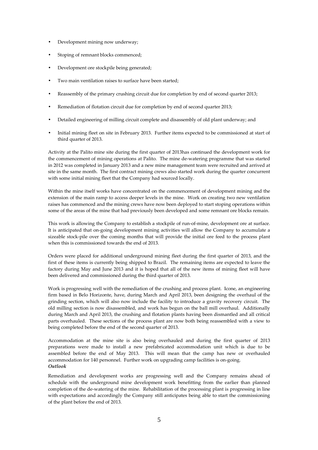- Development mining now underway;
- Stoping of remnant blocks commenced;
- Development ore stockpile being generated;
- Two main ventilation raises to surface have been started;
- Reassembly of the primary crushing circuit due for completion by end of second quarter 2013;
- Remediation of flotation circuit due for completion by end of second quarter 2013;
- Detailed engineering of milling circuit complete and disassembly of old plant underway; and
- Initial mining fleet on site in February 2013. Further items expected to be commissioned at start of third quarter of 2013.

Activity at the Palito mine site during the first quarter of 2013has continued the development work for the commencement of mining operations at Palito. The mine de-watering programme that was started in 2012 was completed in January 2013 and a new mine management team were recruited and arrived at site in the same month. The first contract mining crews also started work during the quarter concurrent with some initial mining fleet that the Company had sourced locally.

Within the mine itself works have concentrated on the commencement of development mining and the extension of the main ramp to access deeper levels in the mine. Work on creating two new ventilation raises has commenced and the mining crews have now been deployed to start stoping operations within some of the areas of the mine that had previously been developed and some remnant ore blocks remain.

This work is allowing the Company to establish a stockpile of run-of-mine, development ore at surface. It is anticipated that on-going development mining activities will allow the Company to accumulate a sizeable stock-pile over the coming months that will provide the initial ore feed to the process plant when this is commissioned towards the end of 2013.

Orders were placed for additional underground mining fleet during the first quarter of 2013, and the first of these items is currently being shipped to Brazil. The remaining items are expected to leave the factory during May and June 2013 and it is hoped that all of the new items of mining fleet will have been delivered and commissioned during the third quarter of 2013.

Work is progressing well with the remediation of the crushing and process plant. Icone, an engineering firm based in Belo Horizonte, have, during March and April 2013, been designing the overhaul of the grinding section, which will also now include the facility to introduce a gravity recovery circuit. The old milling section is now disassembled, and work has begun on the ball mill overhaul. Additionally during March and April 2013, the crushing and flotation plants having been dismantled and all critical parts overhauled. These sections of the process plant are now both being reassembled with a view to being completed before the end of the second quarter of 2013.

Accommodation at the mine site is also being overhauled and during the first quarter of 2013 preparations were made to install a new prefabricated accommodation unit which is due to be assembled before the end of May 2013. This will mean that the camp has new or overhauled accommodation for 140 personnel. Further work on upgrading camp facilities is on-going. *Outlook* 

Remediation and development works are progressing well and the Company remains ahead of schedule with the underground mine development work benefitting from the earlier than planned completion of the de-watering of the mine. Rehabilitation of the processing plant is progressing in line with expectations and accordingly the Company still anticipates being able to start the commissioning of the plant before the end of 2013.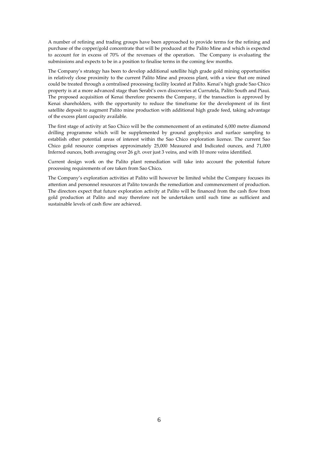A number of refining and trading groups have been approached to provide terms for the refining and purchase of the copper/gold concentrate that will be produced at the Palito Mine and which is expected to account for in excess of 70% of the revenues of the operation. The Company is evaluating the submissions and expects to be in a position to finalise terms in the coming few months.

The Company's strategy has been to develop additional satellite high grade gold mining opportunities in relatively close proximity to the current Palito Mine and process plant, with a view that ore mined could be treated through a centralised processing facility located at Palito. Kenai's high grade Sao Chico property is at a more advanced stage than Serabi's own discoveries at Currutela, Palito South and Piaui. The proposed acquisition of Kenai therefore presents the Company, if the transaction is approved by Kenai shareholders, with the opportunity to reduce the timeframe for the development of its first satellite deposit to augment Palito mine production with additional high grade feed, taking advantage of the excess plant capacity available.

The first stage of activity at Sao Chico will be the commencement of an estimated 6,000 metre diamond drilling programme which will be supplemented by ground geophysics and surface sampling to establish other potential areas of interest within the Sao Chico exploration licence. The current Sao Chico gold resource comprises approximately 25,000 Measured and Indicated ounces, and 71,000 Inferred ounces, both averaging over 26 g/t. over just 3 veins, and with 10 more veins identified.

Current design work on the Palito plant remediation will take into account the potential future processing requirements of ore taken from Sao Chico*.* 

The Company's exploration activities at Palito will however be limited whilst the Company focuses its attention and personnel resources at Palito towards the remediation and commencement of production. The directors expect that future exploration activity at Palito will be financed from the cash flow from gold production at Palito and may therefore not be undertaken until such time as sufficient and sustainable levels of cash flow are achieved.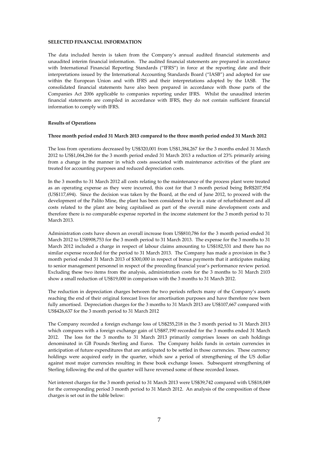#### **SELECTED FINANCIAL INFORMATION**

The data included herein is taken from the Company's annual audited financial statements and unaudited interim financial information. The audited financial statements are prepared in accordance with International Financial Reporting Standards ("IFRS") in force at the reporting date and their interpretations issued by the International Accounting Standards Board ("IASB") and adopted for use within the European Union and with IFRS and their interpretations adopted by the IASB. The consolidated financial statements have also been prepared in accordance with those parts of the Companies Act 2006 applicable to companies reporting under IFRS. Whilst the unaudited interim financial statements are compiled in accordance with IFRS, they do not contain sufficient financial information to comply with IFRS.

## **Results of Operations**

#### **Three month period ended 31 March 2013 compared to the three month period ended 31 March 2012**

The loss from operations decreased by US\$320,001 from US\$1,384,267 for the 3 months ended 31 March 2012 to US\$1,064,266 for the 3 month period ended 31 March 2013 a reduction of 23% primarily arising from a change in the manner in which costs associated with maintenance activities of the plant are treated for accounting purposes and reduced depreciation costs.

In the 3 months to 31 March 2012 all costs relating to the maintenance of the process plant were treated as an operating expense as they were incurred, this cost for that 3 month period being BrR\$207,954 (US\$117,694). Since the decision was taken by the Board, at the end of June 2012, to proceed with the development of the Palito Mine, the plant has been considered to be in a state of refurbishment and all costs related to the plant are being capitalised as part of the overall mine development costs and therefore there is no comparable expense reported in the income statement for the 3 month period to 31 March 2013.

Administration costs have shown an overall increase from US\$810,786 for the 3 month period ended 31 March 2012 to US\$908,753 for the 3 month period to 31 March 2013. The expense for the 3 months to 31 March 2012 included a charge in respect of labour claims amounting to US\$182,531 and there has no similar expense recorded for the period to 31 March 2013. The Company has made a provision in the 3 month period ended 31 March 2013 of \$300,000 in respect of bonus payments that it anticipates making to senior management personnel in respect of the preceding financial year's performance review period. Excluding these two items from the analysis, administration costs for the 3 months to 31 March 2103 show a small reduction of US\$19,000 in comparison with the 3 months to 31 March 2012.

The reduction in depreciation charges between the two periods reflects many of the Company's assets reaching the end of their original forecast lives for amortisation purposes and have therefore now been fully amortised. Depreciation charges for the 3 months to 31 March 2013 are US\$107,667 compared with US\$426,637 for the 3 month period to 31 March 2012

The Company recorded a foreign exchange loss of US\$255,218 in the 3 month period to 31 March 2013 which compares with a foreign exchange gain of US\$87,190 recorded for the 3 months ended 31 March 2012. The loss for the 3 months to 31 March 2013 primarily comprises losses on cash holdings denominated in GB Pounds Sterling and Euros. The Company holds funds in certain currencies in anticipation of future expenditures that are anticipated to be settled in those currencies. These currency holdings were acquired early in the quarter, which saw a period of strengthening of the US dollar against most major currencies resulting in these book exchange losses. Subsequent strengthening of Sterling following the end of the quarter will have reversed some of these recorded losses.

Net interest charges for the 3 month period to 31 March 2013 were US\$39,742 compared with US\$18,049 for the corresponding period 3 month period to 31 March 2012. An analysis of the composition of these charges is set out in the table below: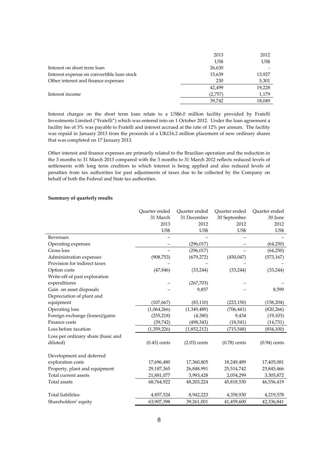|                                            | 2013    | 2012   |
|--------------------------------------------|---------|--------|
|                                            | US\$    | US\$   |
| Interest on short term loan                | 26,630  |        |
| Interest expense on convertible loan stock | 15,639  | 13,927 |
| Other interest and finance expenses        | 230     | 5,301  |
|                                            | 42,499  | 19,228 |
| Interest income                            | (2,757) | 1,179  |
|                                            | 39,742  | 18,049 |
|                                            |         |        |

Interest charges on the short term loan relate to a US\$6.0 million facility provided by Fratelli Investments Limited ("Fratelli") which was entered into on 1 October 2012. Under the loan agreement a facility fee of 3% was payable to Fratelli and interest accrued at the rate of 12% per annum. The facility was repaid in January 2013 from the proceeds of a UK£16.2 million placement of new ordinary shares that was completed on 17 January 2013.

Other interest and finance expenses are primarily related to the Brazilian operation and the reduction in the 3 months to 31 March 2013 compared with the 3 months to 31 March 2012 reflects reduced levels of settlements with long term creditors to which interest is being applied and also reduced levels of penalties from tax authorities for past adjustments of taxes due to be collected by the Company on behalf of both the Federal and State tax authorities.

| 31 March<br>31 December<br>30 September<br>2013<br>2012<br>2012<br>US\$<br>US\$<br>US\$<br>Revenues<br>(296, 017)<br>Operating expenses<br>Gross loss<br>(296, 017) | 30 June<br>2012<br>US\$<br>(64,250)<br>(64,250)<br>(573, 167) |
|---------------------------------------------------------------------------------------------------------------------------------------------------------------------|---------------------------------------------------------------|
|                                                                                                                                                                     |                                                               |
|                                                                                                                                                                     |                                                               |
|                                                                                                                                                                     |                                                               |
|                                                                                                                                                                     |                                                               |
|                                                                                                                                                                     |                                                               |
|                                                                                                                                                                     |                                                               |
| Administration expenses<br>(908, 753)<br>(679, 272)<br>(450, 047)                                                                                                   |                                                               |
| Provision for indirect taxes                                                                                                                                        |                                                               |
| (47, 846)<br>(33, 244)<br>Option costs<br>(33, 244)                                                                                                                 | (33, 244)                                                     |
| Write-off of past exploration                                                                                                                                       |                                                               |
| expenditures<br>(267, 703)                                                                                                                                          |                                                               |
| Gain on asset disposals<br>9,857                                                                                                                                    | 8,599                                                         |
| Depreciation of plant and                                                                                                                                           |                                                               |
| equipment<br>(107, 667)<br>(83, 110)<br>(223, 150)                                                                                                                  | (158, 204)                                                    |
| Operating loss<br>(1,064,266)<br>(1,349,489)<br>(706, 441)                                                                                                          | (820, 266)                                                    |
| Foreign exchange (losses)/gains<br>9,434<br>(255, 218)<br>(4,380)                                                                                                   | (19, 103)                                                     |
| Finance costs<br>(39, 742)<br>(498, 343)<br>(18, 541)                                                                                                               | (14,731)                                                      |
| Loss before taxation<br>(1,359,226)<br>(1,852,212)<br>(715, 548)                                                                                                    | (854, 100)                                                    |
| Loss per ordinary share (basic and                                                                                                                                  |                                                               |
| $(0.78)$ cents<br>diluted)<br>$(0.43)$ cents<br>$(2.03)$ cents<br>$(0.94)$ cents                                                                                    |                                                               |
| Development and deferred                                                                                                                                            |                                                               |
| exploration costs<br>17,696,480<br>17,360,805<br>18,249,489                                                                                                         | 17,405,081                                                    |
| Property, plant and equipment<br>29,187,365<br>26,848,991<br>25,514,742                                                                                             | 25,845,466                                                    |
| Total current assets<br>21,881,077<br>3,993,428<br>2,054,299                                                                                                        | 3,305,872                                                     |
| Total assets<br>68,764,922<br>48,203,224<br>45,818,530                                                                                                              | 46,556,419                                                    |
| <b>Total liabilities</b><br>4,857,524<br>8,942,223<br>4,358,930                                                                                                     | 4,219,578                                                     |
| Shareholders' equity<br>63,907,398<br>39,261,001<br>41,459,600<br>42,336,841                                                                                        |                                                               |

# **Summary of quarterly results**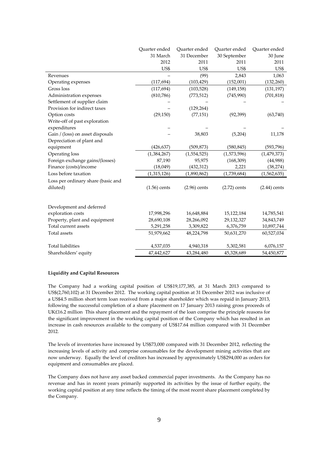|                                    | Quarter ended  | Quarter ended  | Quarter ended  | Quarter ended  |
|------------------------------------|----------------|----------------|----------------|----------------|
|                                    | 31 March       | 31 December    | 30 September   | 30 June        |
|                                    | 2012           | 2011           | 2011           | 2011           |
|                                    | US\$           | US\$           | US\$           | US\$           |
| Revenues                           |                | (99)           | 2,843          | 1,063          |
| Operating expenses                 | (117, 694)     | (103, 429)     | (152,001)      | (132, 260)     |
| Gross loss                         | (117, 694)     | (103, 528)     | (149, 158)     | (131, 197)     |
| Administration expenses            | (810, 786)     | (773, 512)     | (745,990)      | (701, 818)     |
| Settlement of supplier claim       |                |                |                |                |
| Provision for indirect taxes       |                | (129, 264)     |                |                |
| Option costs                       | (29, 150)      | (77, 151)      | (92, 399)      | (63,740)       |
| Write-off of past exploration      |                |                |                |                |
| expenditures                       |                |                |                |                |
| Gain / (loss) on asset disposals   |                | 38,803         | (5,204)        | 11,178         |
| Depreciation of plant and          |                |                |                |                |
| equipment                          | (426, 637)     | (509, 873)     | (580, 845)     | (593, 796)     |
| Operating loss                     | (1,384,267)    | (1,554,525)    | (1,573,596)    | (1, 479, 373)  |
| Foreign exchange gains/(losses)    | 87,190         | 95,975         | (168, 309)     | (44,988)       |
| Finance (costs)/income             | (18,049)       | (432, 312)     | 2,221          | (38, 274)      |
| Loss before taxation               | (1,315,126)    | (1,890,862)    | (1,739,684)    | (1,562,635)    |
| Loss per ordinary share (basic and |                |                |                |                |
| diluted)                           | $(1.56)$ cents | $(2.96)$ cents | $(2.72)$ cents | $(2.44)$ cents |
|                                    |                |                |                |                |
| Development and deferred           |                |                |                |                |
| exploration costs                  | 17,998,296     | 16,648,884     | 15,122,184     | 14,785,541     |
| Property, plant and equipment      | 28,690,108     | 28,266,092     | 29,132,327     | 34,843,749     |
| Total current assets               | 5,291,258      | 3,309,822      | 6,376,759      | 10,897,744     |
| Total assets                       | 51,979,662     | 48,224,798     | 50,631,270     | 60,527,034     |
|                                    |                |                |                |                |
| <b>Total liabilities</b>           | 4,537,035      | 4,940,318      | 5,302,581      | 6,076,157      |
| Shareholders' equity               | 47,442,627     | 43,284,480     | 45,328,689     | 54,450,877     |

# **Liquidity and Capital Resources**

The Company had a working capital position of US\$19,177,385, at 31 March 2013 compared to US\$(2,760,102) at 31 December 2012. The working capital position at 31 December 2012 was inclusive of a US\$4.5 million short term loan received from a major shareholder which was repaid in January 2013, following the successful completion of a share placement on 17 January 2013 raising gross proceeds of UK£16.2 million This share placement and the repayment of the loan comprise the principle reasons for the significant improvement in the working capital position of the Company which has resulted in an increase in cash resources available to the company of US\$17.64 million compared with 31 December 2012*.* 

The levels of inventories have increased by US\$73,000 compared with 31 December 2012, reflecting the increasing levels of activity and comprise consumables for the development mining activities that are now underway. Equally the level of creditors has increased by approximately US\$294,000 as orders for equipment and consumables are placed.

The Company does not have any asset backed commercial paper investments. As the Company has no revenue and has in recent years primarily supported its activities by the issue of further equity, the working capital position at any time reflects the timing of the most recent share placement completed by the Company.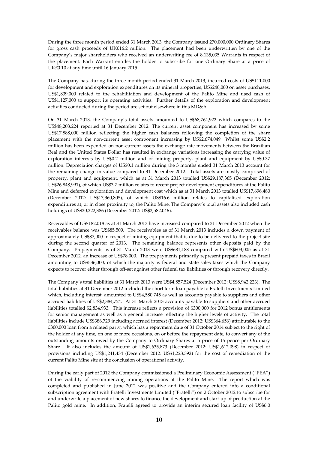During the three month period ended 31 March 2013, the Company issued 270,000,000 Ordinary Shares for gross cash proceeds of UK£16.2 million. The placement had been underwritten by one of the Company's major shareholders who received an underwriting fee of 8,135,035 Warrants in respect of the placement. Each Warrant entitles the holder to subscribe for one Ordinary Share at a price of UK£0.10 at any time until 16 January 2015.

The Company has, during the three month period ended 31 March 2013, incurred costs of US\$111,000 for development and exploration expenditures on its mineral properties, US\$240,000 on asset purchases, US\$1,839,000 related to the rehabilitation and development of the Palito Mine and used cash of US\$1,127,000 to support its operating activities. Further details of the exploration and development activities conducted during the period are set out elsewhere in this MD&A.

On 31 March 2013, the Company's total assets amounted to US\$68,764,922 which compares to the US\$48,203,224 reported at 31 December 2012. The current asset component has increased by some US\$17,888,000 million reflecting the higher cash balances following the completion of the share placement with the non-current asset component increasing by US\$2,674,049 Whilst some US\$2.2 million has been expended on non-current assets the exchange rate movements between the Brazilian Real and the United States Dollar has resulted in exchange variations increasing the carrying value of exploration interests by US\$0.2 million and of mining property, plant and equipment by US\$0.37 million. Depreciation charges of US\$0.1 million during the 3 months ended 31 March 2013 account for the remaining change in value compared to 31 December 2012. Total assets are mostly comprised of property, plant and equipment, which as at 31 March 2013 totalled US\$29,187,365 (December 2012: US\$26,848,991), of which US\$3.7 million relates to recent project development expenditures at the Palito Mine and deferred exploration and development cost which as at 31 March 2013 totalled US\$17,696,480 (December 2012: US\$17,360,805), of which US\$16.6 million relates to capitalised exploration expenditures at, or in close proximity to, the Palito Mine. The Company's total assets also included cash holdings of US\$20,222,386 (December 2012: US\$2,582,046).

Receivables of US\$182,018 as at 31 March 2013 have increased compared to 31 December 2012 when the receivables balance was US\$85,509. The receivables as of 31 March 2013 includes a down payment of approximately US\$87,000 in respect of mining equipment that is due to be delivered to the project site during the second quarter of 2013. The remaining balance represents other deposits paid by the Company. Prepayments as of 31 March 2013 were US\$681,188 compared with US\$603,005 as at 31 December 2012, an increase of US\$78,000. The prepayments primarily represent prepaid taxes in Brazil amounting to US\$536,000, of which the majority is federal and state sales taxes which the Company expects to recover either through off-set against other federal tax liabilities or through recovery directly.

The Company's total liabilities at 31 March 2013 were US\$4,857,524 (December 2012: US\$8,942,223). The total liabilities at 31 December 2012 included the short term loan payable to Fratelli Investments Limited which, including interest, amounted to US\$4,580,745 as well as accounts payable to suppliers and other accrued liabilities of US\$2,384,724. At 31 March 2013 accounts payable to suppliers and other accrued liabilities totalled \$2,834,933. This increase reflects a provision of \$300,000 for 2012 bonus entitlements for senior management as well as a general increase reflecting the higher levels of activity. The total liabilities include US\$386,729 including accrued interest (December 2012: US\$364,656) attributable to the £300,000 loan from a related party, which has a repayment date of 31 October 2014 subject to the right of the holder at any time, on one or more occasions, on or before the repayment date, to convert any of the outstanding amounts owed by the Company to Ordinary Shares at a price of 15 pence per Ordinary Share. It also includes the amount of US\$1,635,873 (December 2012: US\$1,612,098) in respect of provisions including US\$1,241,434 (December 2012: US\$1,223,392) for the cost of remediation of the current Palito Mine site at the conclusion of operational activity.

During the early part of 2012 the Company commissioned a Preliminary Economic Assessment ("PEA") of the viability of re-commencing mining operations at the Palito Mine. The report which was completed and published in June 2012 was positive and the Company entered into a conditional subscription agreement with Fratelli Investments Limited ("Fratelli") on 2 October 2012 to subscribe for and underwrite a placement of new shares to finance the development and start-up of production at the Palito gold mine. In addition, Fratelli agreed to provide an interim secured loan facility of US\$6.0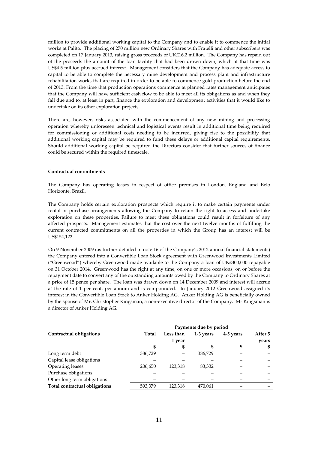million to provide additional working capital to the Company and to enable it to commence the initial works at Palito. The placing of 270 million new Ordinary Shares with Fratelli and other subscribers was completed on 17 January 2013, raising gross proceeds of UK£16.2 million. The Company has repaid out of the proceeds the amount of the loan facility that had been drawn down, which at that time was US\$4.5 million plus accrued interest. Management considers that the Company has adequate access to capital to be able to complete the necessary mine development and process plant and infrastructure rehabilitation works that are required in order to be able to commence gold production before the end of 2013. From the time that production operations commence at planned rates management anticipates that the Company will have sufficient cash flow to be able to meet all its obligations as and when they fall due and to, at least in part, finance the exploration and development activities that it would like to undertake on its other exploration projects.

There are, however, risks associated with the commencement of any new mining and processing operation whereby unforeseen technical and logistical events result in additional time being required for commissioning or additional costs needing to be incurred, giving rise to the possibility that additional working capital may be required to fund these delays or additional capital requirements. Should additional working capital be required the Directors consider that further sources of finance could be secured within the required timescale.

#### **Contractual commitments**

The Company has operating leases in respect of office premises in London, England and Belo Horizonte, Brazil.

The Company holds certain exploration prospects which require it to make certain payments under rental or purchase arrangements allowing the Company to retain the right to access and undertake exploration on these properties. Failure to meet these obligations could result in forfeiture of any affected prospects. Management estimates that the cost over the next twelve months of fulfilling the current contracted commitments on all the properties in which the Group has an interest will be US\$154,122.

On 9 November 2009 (as further detailed in note 16 of the Company's 2012 annual financial statements) the Company entered into a Convertible Loan Stock agreement with Greenwood Investments Limited ("Greenwood") whereby Greenwood made available to the Company a loan of UK£300,000 repayable on 31 October 2014. Greenwood has the right at any time, on one or more occasions, on or before the repayment date to convert any of the outstanding amounts owed by the Company to Ordinary Shares at a price of 15 pence per share. The loan was drawn down on 14 December 2009 and interest will accrue at the rate of 1 per cent. per annum and is compounded. In January 2012 Greenwood assigned its interest in the Convertible Loan Stock to Anker Holding AG. Anker Holding AG is beneficially owned by the spouse of Mr. Christopher Kingsman, a non-executive director of the Company. Mr Kingsman is a director of Anker Holding AG.

|                               |         |           | Payments due by period |           |         |
|-------------------------------|---------|-----------|------------------------|-----------|---------|
| Contractual obligations       | Total   | Less than | 1-3 years              | 4-5 years | After 5 |
|                               |         | 1 year    |                        |           | years   |
|                               |         | \$        |                        | \$        | \$      |
| Long term debt                | 386.729 |           | 386,729                |           |         |
| Capital lease obligations     |         |           |                        |           |         |
| Operating leases              | 206,650 | 123,318   | 83.332                 |           |         |
| Purchase obligations          |         |           |                        |           |         |
| Other long term obligations   |         |           |                        |           |         |
| Total contractual obligations | 593,379 | 123,318   | 470,061                |           |         |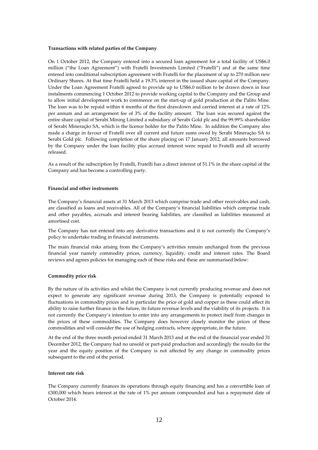# **Transactions with related parties of the Company**

On 1 October 2012, the Company entered into a secured loan agreement for a total facility of US\$6.0 million ("the Loan Agreement") with Fratelli Investments Limited ("Fratelli") and at the same time entered into conditional subscription agreement with Fratelli for the placement of up to 270 million new Ordinary Shares. At that time Fratelli held a 19.3% interest in the issued share capital of the Company. Under the Loan Agreement Fratelli agreed to provide up to US\$6.0 million to be drawn down in four instalments commencing 1 October 2012 to provide working capital to the Company and the Group and to allow initial development work to commence on the start-up of gold production at the Palito Mine. The loan was to be repaid within 6 months of the first drawdown and carried interest at a rate of 12% per annum and an arrangement fee of 3% of the facility amount. The loan was secured against the entire share capital of Serabi Mining Limited a subsidiary of Serabi Gold plc and the 99.99% shareholder of Serabi Mineraçăo SA, which is the licence holder for the Palito Mine. In addition the Company also made a charge in favour of Fratelli over all current and future sums owed by Serabi Mineraçăo SA to Serabi Gold plc. Following completion of the share placing on 17 January 2012, all amounts borrowed by the Company under the loan facility plus accrued interest were repaid to Fratelli and all security released.

As a result of the subscription by Fratelli, Fratelli has a direct interest of 51.1% in the share capital of the Company and has become a controlling party.

#### **Financial and other instruments**

The Company's financial assets at 31 March 2013 which comprise trade and other receivables and cash, are classified as loans and receivables. All of the Company's financial liabilities which comprise trade and other payables, accruals and interest bearing liabilities, are classified as liabilities measured at amortised cost.

The Company has not entered into any derivative transactions and it is not currently the Company's policy to undertake trading in financial instruments.

The main financial risks arising from the Company's activities remain unchanged from the previous financial year namely commodity prices, currency, liquidity, credit and interest rates. The Board reviews and agrees policies for managing each of these risks and these are summarised below:

#### **Commodity price risk**

By the nature of its activities and whilst the Company is not currently producing revenue and does not expect to generate any significant revenue during 2013, the Company is potentially exposed to fluctuations in commodity prices and in particular the price of gold and copper as these could affect its ability to raise further finance in the future, its future revenue levels and the viability of its projects. It is not currently the Company's intention to enter into any arrangements to protect itself from changes in the prices of these commodities. The Company does however closely monitor the prices of these commodities and will consider the use of hedging contracts, where appropriate, in the future.

At the end of the three month period ended 31 March 2013 and at the end of the financial year ended 31 December 2012, the Company had no unsold or part-paid production and accordingly the results for the year and the equity position of the Company is not affected by any change in commodity prices subsequent to the end of the period.

#### **Interest rate risk**

The Company currently finances its operations through equity financing and has a convertible loan of £300,000 which bears interest at the rate of 1% per annum compounded and has a repayment date of October 2014.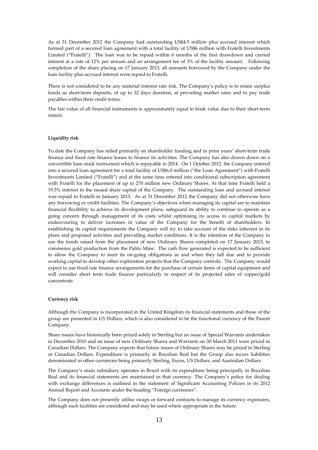As at 31 December 2012 the Company had outstanding US\$4.5 million plus accrued interest which formed part of a secured loan agreement with a total facility of US\$6 million with Fratelli Investments Limited ("Fratelli"). The loan was to be repaid within 6 months of the first drawdown and carried interest at a rate of 12% per annum and an arrangement fee of 3% of the facility amount. Following completion of the share placing on 17 January 2013, all amounts borrowed by the Company under the loan facility plus accrued interest were repaid to Fratelli.

There is not considered to be any material interest rate risk. The Company's policy is to retain surplus funds as short-term deposits, of up to 32 days duration, at prevailing market rates and to pay trade payables within their credit terms.

The fair value of all financial instruments is approximately equal to book value due to their short-term nature.

# **Liquidity risk**

To date the Company has relied primarily on shareholder funding and in prior years' short-term trade finance and fixed rate finance leases to finance its activities. The Company has also drawn down on a convertible loan stock instrument which is repayable in 2014. On 1 October 2012, the Company entered into a secured loan agreement for a total facility of US\$6.0 million ("the Loan Agreement") with Fratelli Investments Limited ("Fratelli") and at the same time entered into conditional subscription agreement with Fratelli for the placement of up to 270 million new Ordinary Shares. At that time Fratelli held a 19.3% interest in the issued share capital of the Company. The outstanding loan and accrued interest was repaid to Fratelli in January 2013. As at 31 December 2012 the Company did not otherwise have any borrowing or credit facilities. The Company's objectives when managing its capital are to maintain financial flexibility to achieve its development plans, safeguard its ability to continue to operate as a going concern through management of its costs whilst optimising its access to capital markets by endeavouring to deliver increases in value of the Company for the benefit of shareholders. In establishing its capital requirements the Company will try to take account of the risks inherent in its plans and proposed activities and prevailing market conditions. It is the intention of the Company to use the funds raised from the placement of new Ordinary Shares completed on 17 January 2013, to commence gold production from the Palito Mine. The cash flow generated is expected to be sufficient to allow the Company to meet its on-going obligations as and when they fall due and to provide working capital to develop other exploration projects that the Company controls. The Company would expect to use fixed rate finance arrangements for the purchase of certain items of capital equipment and will consider short term trade finance particularly in respect of its projected sales of copper/gold concentrate.

#### **Currency risk**

Although the Company is incorporated in the United Kingdom its financial statements and those of the group are presented in US Dollars, which is also considered to be the functional currency of the Parent Company.

Share issues have historically been priced solely in Sterling but an issue of Special Warrants undertaken in December 2010 and an issue of new Ordinary Shares and Warrants on 30 March 2011 were priced in Canadian Dollars. The Company expects that future issues of Ordinary Shares may be priced in Sterling or Canadian Dollars. Expenditure is primarily in Brazilian Real but the Group also incurs liabilities denominated in other currencies being primarily Sterling, Euros, US Dollars, and Australian Dollars.

The Company's main subsidiary operates in Brazil with its expenditure being principally in Brazilian Real and its financial statements are maintained in that currency. The Company's policy for dealing with exchange differences is outlined in the statement of Significant Accounting Policies in its 2012 Annual Report and Accounts under the heading "Foreign currencies".

The Company does not presently utilise swaps or forward contracts to manage its currency exposures, although such facilities are considered and may be used where appropriate in the future.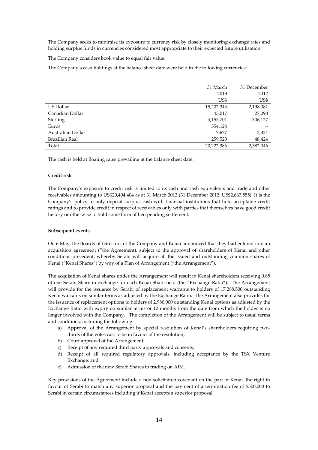The Company seeks to minimise its exposure to currency risk by closely monitoring exchange rates and holding surplus funds in currencies considered most appropriate to their expected future utilisation.

The Company considers book value to equal fair value.

The Company's cash holdings at the balance sheet date were held in the following currencies:

|                   | 31 March   | 31 December |
|-------------------|------------|-------------|
|                   | 2013       | 2012        |
|                   | US\$       | US\$        |
| US Dollar         | 15,202,344 | 2,198,081   |
| Canadian Dollar   | 43,017     | 27,090      |
| Sterling          | 4,155,701  | 306,127     |
| Euros             | 554,124    |             |
| Australian Dollar | 7,677      | 2,324       |
| Brazilian Real    | 259,523    | 48,424      |
| Total             | 20,222,386 | 2,582,046   |

The cash is held at floating rates prevailing at the balance sheet date.

#### **Credit risk**

The Company's exposure to credit risk is limited to its cash and cash equivalents and trade and other receivables amounting to US\$20,404,404 as at 31 March 2013 (31 December 2012: US\$2,667,555). It is the Company's policy to only deposit surplus cash with financial institutions that hold acceptable credit ratings and to provide credit in respect of receivables only with parties that themselves have good credit history or otherwise to hold some form of lien pending settlement.

## **Subsequent events**

On 6 May, the Boards of Directors of the Company and Kenai announced that they had entered into an acquisition agreement ("the Agreement), subject to the approval of shareholders of Kenai and other conditions precedent, whereby Serabi will acquire all the issued and outstanding common shares of Kenai ("Kenai Shares") by way of a Plan of Arrangement ("the Arrangement").

The acquisition of Kenai shares under the Arrangement will result in Kenai shareholders receiving 0.85 of one Serabi Share in exchange for each Kenai Share held (the "Exchange Ratio"). The Arrangement will provide for the issuance by Serabi of replacement warrants to holders of 17,288,500 outstanding Kenai warrants on similar terms as adjusted by the Exchange Ratio. The Arrangement also provides for the issuance of replacement options to holders of 2,980,000 outstanding Kenai options as adjusted by the Exchange Ratio with expiry on similar terms or 12 months from the date from which the holder is no longer involved with the Company. The completion of the Arrangement will be subject to usual terms and conditions, including the following:

- a) Approval of the Arrangement by special resolution of Kenai's shareholders requiring twothirds of the votes cast to be in favour of the resolution;
- b) Court approval of the Arrangement;
- c) Receipt of any required third party approvals and consents;
- d) Receipt of all required regulatory approvals, including acceptance by the TSX Venture Exchange; and
- e) Admission of the new Serabi Shares to trading on AIM.

Key provisions of the Agreement include a non-solicitation covenant on the part of Kenai, the right in favour of Serabi to match any superior proposal and the payment of a termination fee of \$500,000 to Serabi in certain circumstances including if Kenai accepts a superior proposal.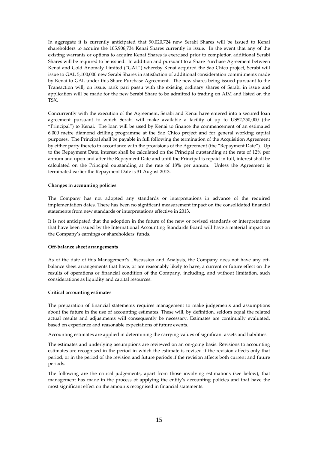In aggregate it is currently anticipated that 90,020,724 new Serabi Shares will be issued to Kenai shareholders to acquire the 105,906,734 Kenai Shares currently in issue. In the event that any of the existing warrants or options to acquire Kenai Shares is exercised prior to completion additional Serabi Shares will be required to be issued. In addition and pursuant to a Share Purchase Agreement between Kenai and Gold Anomaly Limited ("GAL") whereby Kenai acquired the Sao Chico project, Serabi will issue to GAL 5,100,000 new Serabi Shares in satisfaction of additional consideration commitments made by Kenai to GAL under this Share Purchase Agreement. The new shares being issued pursuant to the Transaction will, on issue, rank pari passu with the existing ordinary shares of Serabi in issue and application will be made for the new Serabi Share to be admitted to trading on AIM and listed on the TSX.

Concurrently with the execution of the Agreement, Serabi and Kenai have entered into a secured loan agreement pursuant to which Serabi will make available a facility of up to US\$2,750,000 (the "Principal") to Kenai. The loan will be used by Kenai to finance the commencement of an estimated 6,000 metre diamond drilling programme at the Sao Chico project and for general working capital purposes. The Principal shall be payable in full following the termination of the Acquisition Agreement by either party thereto in accordance with the provisions of the Agreement (the "Repayment Date"). Up to the Repayment Date, interest shall be calculated on the Principal outstanding at the rate of 12% per annum and upon and after the Repayment Date and until the Principal is repaid in full, interest shall be calculated on the Principal outstanding at the rate of 18% per annum. Unless the Agreement is terminated earlier the Repayment Date is 31 August 2013.

## **Changes in accounting policies**

The Company has not adopted any standards or interpretations in advance of the required implementation dates. There has been no significant measurement impact on the consolidated financial statements from new standards or interpretations effective in 2013.

It is not anticipated that the adoption in the future of the new or revised standards or interpretations that have been issued by the International Accounting Standards Board will have a material impact on the Company's earnings or shareholders' funds.

## **Off-balance sheet arrangements**

As of the date of this Management's Discussion and Analysis, the Company does not have any offbalance sheet arrangements that have, or are reasonably likely to have, a current or future effect on the results of operations or financial condition of the Company, including, and without limitation, such considerations as liquidity and capital resources.

## **Critical accounting estimates**

The preparation of financial statements requires management to make judgements and assumptions about the future in the use of accounting estimates. These will, by definition, seldom equal the related actual results and adjustments will consequently be necessary. Estimates are continually evaluated, based on experience and reasonable expectations of future events.

Accounting estimates are applied in determining the carrying values of significant assets and liabilities.

The estimates and underlying assumptions are reviewed on an on-going basis. Revisions to accounting estimates are recognised in the period in which the estimate is revised if the revision affects only that period, or in the period of the revision and future periods if the revision affects both current and future periods.

The following are the critical judgements, apart from those involving estimations (see below), that management has made in the process of applying the entity's accounting policies and that have the most significant effect on the amounts recognised in financial statements.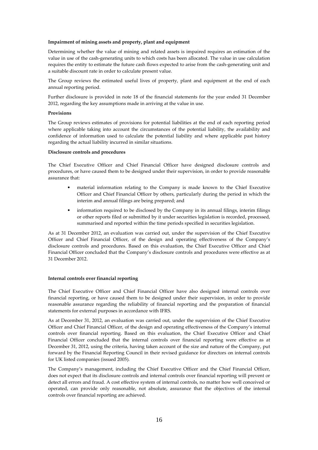## **Impairment of mining assets and property, plant and equipment**

Determining whether the value of mining and related assets is impaired requires an estimation of the value in use of the cash-generating units to which costs has been allocated. The value in use calculation requires the entity to estimate the future cash flows expected to arise from the cash-generating unit and a suitable discount rate in order to calculate present value.

The Group reviews the estimated useful lives of property, plant and equipment at the end of each annual reporting period.

Further disclosure is provided in note 18 of the financial statements for the year ended 31 December 2012, regarding the key assumptions made in arriving at the value in use.

#### **Provisions**

The Group reviews estimates of provisions for potential liabilities at the end of each reporting period where applicable taking into account the circumstances of the potential liability, the availability and confidence of information used to calculate the potential liability and where applicable past history regarding the actual liability incurred in similar situations.

## **Disclosure controls and procedures**

The Chief Executive Officer and Chief Financial Officer have designed disclosure controls and procedures, or have caused them to be designed under their supervision, in order to provide reasonable assurance that:

- material information relating to the Company is made known to the Chief Executive Officer and Chief Financial Officer by others, particularly during the period in which the interim and annual filings are being prepared; and
- information required to be disclosed by the Company in its annual filings, interim filings or other reports filed or submitted by it under securities legislation is recorded, processed, summarised and reported within the time periods specified in securities legislation.

As at 31 December 2012, an evaluation was carried out, under the supervision of the Chief Executive Officer and Chief Financial Officer, of the design and operating effectiveness of the Company's disclosure controls and procedures. Based on this evaluation, the Chief Executive Officer and Chief Financial Officer concluded that the Company's disclosure controls and procedures were effective as at 31 December 2012.

## **Internal controls over financial reporting**

The Chief Executive Officer and Chief Financial Officer have also designed internal controls over financial reporting, or have caused them to be designed under their supervision, in order to provide reasonable assurance regarding the reliability of financial reporting and the preparation of financial statements for external purposes in accordance with IFRS.

As at December 31, 2012, an evaluation was carried out, under the supervision of the Chief Executive Officer and Chief Financial Officer, of the design and operating effectiveness of the Company's internal controls over financial reporting. Based on this evaluation, the Chief Executive Officer and Chief Financial Officer concluded that the internal controls over financial reporting were effective as at December 31, 2012, using the criteria, having taken account of the size and nature of the Company, put forward by the Financial Reporting Council in their revised guidance for directors on internal controls for UK listed companies (issued 2005).

The Company's management, including the Chief Executive Officer and the Chief Financial Officer, does not expect that its disclosure controls and internal controls over financial reporting will prevent or detect all errors and fraud. A cost effective system of internal controls, no matter how well conceived or operated, can provide only reasonable, not absolute, assurance that the objectives of the internal controls over financial reporting are achieved.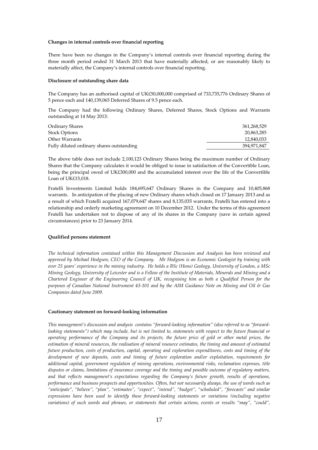## **Changes in internal controls over financial reporting**

There have been no changes in the Company's internal controls over financial reporting during the three month period ended 31 March 2013 that have materially affected, or are reasonably likely to materially affect, the Company's internal controls over financial reporting.

#### **Disclosure of outstanding share data**

The Company has an authorised capital of UK£50,000,000 comprised of 733,735,776 Ordinary Shares of 5 pence each and 140,139,065 Deferred Shares of 9.5 pence each.

The Company had the following Ordinary Shares, Deferred Shares, Stock Options and Warrants outstanding at 14 May 2013:

| Ordinary Shares                           | 361,268,529 |
|-------------------------------------------|-------------|
| <b>Stock Options</b>                      | 20,863,285  |
| Other Warrants                            | 12,840,033  |
| Fully diluted ordinary shares outstanding | 394.971.847 |

The above table does not include 2,100,123 Ordinary Shares being the maximum number of Ordinary Shares that the Company calculates it would be obliged to issue in satisfaction of the Convertible Loan, being the principal owed of UK£300,000 and the accumulated interest over the life of the Convertible Loan of UK£15,018.

Fratelli Investments Limited holds 184,695,647 Ordinary Shares in the Company and 10,405,868 warrants. In anticipation of the placing of new Ordinary shares which closed on 17 January 2013 and as a result of which Fratelli acquired 167,079,647 shares and 8,135,035 warrants, Fratelli has entered into a relationship and orderly marketing agreement on 10 December 2012. Under the terms of this agreement Fratelli has undertaken not to dispose of any of its shares in the Company (save in certain agreed circumstances) prior to 23 January 2014.

#### **Qualified persons statement**

*The technical information contained within this Management Discussion and Analysis has been reviewed and approved by Michael Hodgson, CEO of the Company. Mr Hodgson is an Economic Geologist by training with over 25 years' experience in the mining industry. He holds a BSc (Hons) Geology, University of London, a MSc Mining Geology, University of Leicester and is a Fellow of the Institute of Materials, Minerals and Mining and a Chartered Engineer of the Engineering Council of UK, recognising him as both a Qualified Person for the purposes of Canadian National Instrument 43-101 and by the AIM Guidance Note on Mining and Oil & Gas Companies dated June 2009.* 

#### **Cautionary statement on forward-looking information**

*This management's discussion and analysis contains "forward-looking information" (also referred to as "forwardlooking statements") which may include, but is not limited to, statements with respect to the future financial or operating performance of the Company and its projects, the future price of gold or other metal prices, the estimation of mineral resources, the realisation of mineral resource estimates, the timing and amount of estimated future production, costs of production, capital, operating and exploration expenditures, costs and timing of the development of new deposits, costs and timing of future exploration and/or exploitation, requirements for additional capital, government regulation of mining operations, environmental risks, reclamation expenses, title disputes or claims, limitations of insurance coverage and the timing and possible outcome of regulatory matters, and that reflects management's expectations regarding the Company's future growth, results of operations, performance and business prospects and opportunities. Often, but not necessarily always, the use of words such as "anticipate", "believe", "plan", "estimates", "expect", "intend", "budget", "scheduled", "forecasts" and similar expressions have been used to identify these forward-looking statements or variations (including negative variations) of such words and phrases, or statements that certain actions, events or results "may", "could",*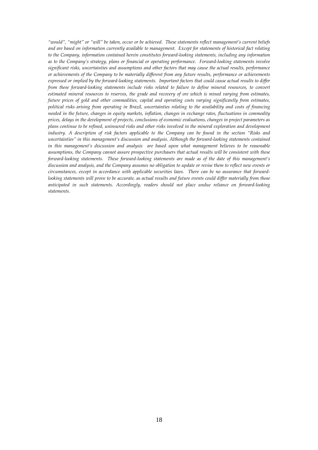*"would", "might" or "will" be taken, occur or be achieved. These statements reflect management's current beliefs and are based on information currently available to management. Except for statements of historical fact relating to the Company, information contained herein constitutes forward-looking statements, including any information as to the Company's strategy, plans or financial or operating performance. Forward-looking statements involve significant risks, uncertainties and assumptions and other factors that may cause the actual results, performance or achievements of the Company to be materially different from any future results, performance or achievements expressed or implied by the forward-looking statements. Important factors that could cause actual results to differ from these forward-looking statements include risks related to failure to define mineral resources, to convert estimated mineral resources to reserves, the grade and recovery of ore which is mined varying from estimates, future prices of gold and other commodities, capital and operating costs varying significantly from estimates, political risks arising from operating in Brazil, uncertainties relating to the availability and costs of financing needed in the future, changes in equity markets, inflation, changes in exchange rates, fluctuations in commodity prices, delays in the development of projects, conclusions of economic evaluations, changes in project parameters as plans continue to be refined, uninsured risks and other risks involved in the mineral exploration and development industry. A description of risk factors applicable to the Company can be found in the section "Risks and uncertainties" in this management's discussion and analysis. Although the forward-looking statements contained in this management's discussion and analysis are based upon what management believes to be reasonable assumptions, the Company cannot assure prospective purchasers that actual results will be consistent with these forward-looking statements. These forward-looking statements are made as of the date of this management's discussion and analysis, and the Company assumes no obligation to update or revise them to reflect new events or circumstances, except in accordance with applicable securities laws. There can be no assurance that forwardlooking statements will prove to be accurate, as actual results and future events could differ materially from those anticipated in such statements. Accordingly, readers should not place undue reliance on forward-looking statements.*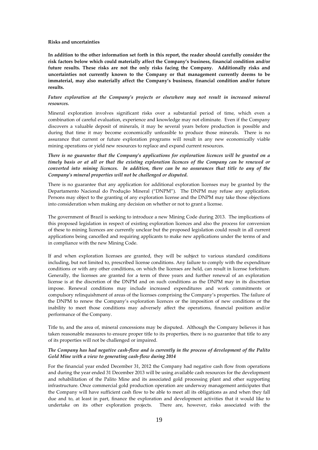#### **Risks and uncertainties**

**In addition to the other information set forth in this report, the reader should carefully consider the risk factors below which could materially affect the Company's business, financial condition and/or future results. These risks are not the only risks facing the Company. Additionally risks and uncertainties not currently known to the Company or that management currently deems to be immaterial, may also materially affect the Company's business, financial condition and/or future results.** 

# *Future exploration at the Company's projects or elsewhere may not result in increased mineral resources.*

Mineral exploration involves significant risks over a substantial period of time, which even a combination of careful evaluation, experience and knowledge may not eliminate. Even if the Company discovers a valuable deposit of minerals, it may be several years before production is possible and during that time it may become economically unfeasible to produce those minerals. There is no assurance that current or future exploration programs will result in any new economically viable mining operations or yield new resources to replace and expand current resources.

*There is no guarantee that the Company's applications for exploration licences will be granted on a timely basis or at all or that the existing exploration licences of the Company can be renewed or converted into mining licences. In addition, there can be no assurances that title to any of the Company's mineral properties will not be challenged or disputed.* 

There is no guarantee that any application for additional exploration licenses may be granted by the Departamento Nacional do Produçăo Mineral ("DNPM"). The DNPM may refuse any application. Persons may object to the granting of any exploration license and the DNPM may take those objections into consideration when making any decision on whether or not to grant a license.

The government of Brazil is seeking to introduce a new Mining Code during 2013. The implications of this proposed legislation in respect of existing exploration licences and also the process for conversion of these to mining licences are currently unclear but the proposed legislation could result in all current applications being cancelled and requiring applicants to make new applications under the terms of and in compliance with the new Mining Code.

If and when exploration licenses are granted, they will be subject to various standard conditions including, but not limited to, prescribed license conditions. Any failure to comply with the expenditure conditions or with any other conditions, on which the licenses are held, can result in license forfeiture. Generally, the licenses are granted for a term of three years and further renewal of an exploration license is at the discretion of the DNPM and on such conditions as the DNPM may in its discretion impose. Renewal conditions may include increased expenditures and work commitments or compulsory relinquishment of areas of the licenses comprising the Company's properties. The failure of the DNPM to renew the Company's exploration licences or the imposition of new conditions or the inability to meet those conditions may adversely affect the operations, financial position and/or performance of the Company.

Title to, and the area of, mineral concessions may be disputed. Although the Company believes it has taken reasonable measures to ensure proper title to its properties, there is no guarantee that title to any of its properties will not be challenged or impaired.

## *The Company has had negative cash-flow and is currently in the process of development of the Palito Gold Mine with a view to generating cash-flow during 2014*

For the financial year ended December 31, 2012 the Company had negative cash flow from operations and during the year ended 31 December 2013 will be using available cash resources for the development and rehabilitation of the Palito Mine and its associated gold processing plant and other supporting infrastructure. Once commercial gold production operation are underway management anticipates that the Company will have sufficient cash flow to be able to meet all its obligations as and when they fall due and to, at least in part, finance the exploration and development activities that it would like to undertake on its other exploration projects. There are, however, risks associated with the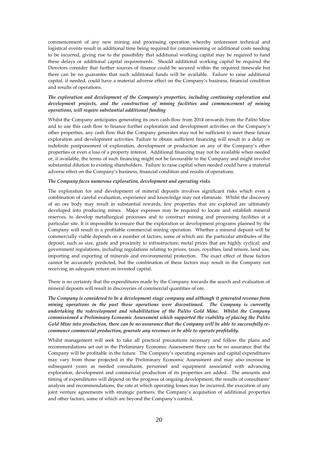commencement of any new mining and processing operation whereby unforeseen technical and logistical events result in additional time being required for commissioning or additional costs needing to be incurred, giving rise to the possibility that additional working capital may be required to fund these delays or additional capital requirements. Should additional working capital be required the Directors consider that further sources of finance could be secured within the required timescale but there can be no guarantee that such additional funds will be available. Failure to raise additional capital, if needed, could have a material adverse effect on the Company's business, financial condition and results of operations.

# *The exploration and development of the Company's properties, including continuing exploration and development projects, and the construction of mining facilities and commencement of mining operations, will require substantial additional funding*

Whilst the Company anticipates generating its own cash-flow from 2014 onwards from the Palito Mine and to use this cash flow to finance further exploration and development activities on the Company's other properties, any cash flow that the Company generates may not be sufficient to meet these future exploration and development activities. Failure to obtain sufficient financing will result in a delay or indefinite postponement of exploration, development or production on any of the Company's other properties or even a loss of a property interest. Additional financing may not be available when needed or, if available, the terms of such financing might not be favourable to the Company and might involve substantial dilution to existing shareholders. Failure to raise capital when needed could have a material adverse effect on the Company's business, financial condition and results of operations.

## *The Company faces numerous exploration, development and operating risks.*

The exploration for and development of mineral deposits involves significant risks which even a combination of careful evaluation, experience and knowledge may not eliminate. Whilst the discovery of an ore body may result in substantial rewards, few properties that are explored are ultimately developed into producing mines. Major expenses may be required to locate and establish mineral reserves, to develop metallurgical processes and to construct mining and processing facilities at a particular site. It is impossible to ensure that the exploration or development programs planned by the Company will result in a profitable commercial mining operation. Whether a mineral deposit will be commercially viable depends on a number of factors, some of which are: the particular attributes of the deposit, such as size, grade and proximity to infrastructure; metal prices that are highly cyclical; and government regulations, including regulations relating to prices, taxes, royalties, land tenure, land use, importing and exporting of minerals and environmental protection. The exact effect of these factors cannot be accurately predicted, but the combination of these factors may result in the Company not receiving an adequate return on invested capital.

There is no certainty that the expenditures made by the Company towards the search and evaluation of mineral deposits will result in discoveries of commercial quantities of ore.

*The Company is considered to be a development stage company and although it generated revenue from mining operations in the past those operations were discontinued. The Company is currently undertaking the redevelopment and rehabilitation of the Palito Gold Mine. Whilst the Company commissioned a Preliminary Economic Assessment which supported the viability of placing the Palito Gold Mine into production, there can be no assurance that the Company will be able to successfully recommence commercial production, generate any revenues or be able to operate profitably.* 

Whilst management will seek to take all practical precautions necessary and follow the plans and recommendations set out in the Preliminary Economic Assessment there can be no assurance that the Company will be profitable in the future. The Company's operating expenses and capital expenditures may vary from those projected in the Preliminary Economic Assessment and may also increase in subsequent years as needed consultants, personnel and equipment associated with advancing exploration, development and commercial production of its properties are added. The amounts and timing of expenditures will depend on the progress of ongoing development, the results of consultants' analysis and recommendations, the rate at which operating losses may be incurred, the execution of any joint venture agreements with strategic partners, the Company's acquisition of additional properties and other factors, some of which are beyond the Company's control.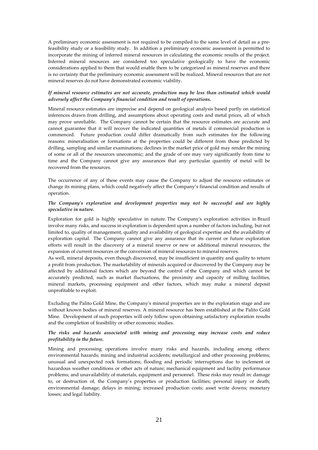A preliminary economic assessment is not required to be compiled to the same level of detail as a prefeasibility study or a feasibility study. In addition a preliminary economic assessment is permitted to incorporate the mining of inferred mineral resources in calculating the economic results of the project. Inferred mineral resources are considered too speculative geologically to have the economic considerations applied to them that would enable them to be categorized as mineral reserves and there is no certainty that the preliminary economic assessment will be realized. Mineral resources that are not mineral reserves do not have demonstrated economic viability.

## *If mineral resource estimates are not accurate, production may be less than estimated which would adversely affect the Company's financial condition and result of operations.*

Mineral resource estimates are imprecise and depend on geological analysis based partly on statistical inferences drawn from drilling, and assumptions about operating costs and metal prices, all of which may prove unreliable. The Company cannot be certain that the resource estimates are accurate and cannot guarantee that it will recover the indicated quantities of metals if commercial production is commenced. Future production could differ dramatically from such estimates for the following reasons: mineralisation or formations at the properties could be different from those predicted by drilling, sampling and similar examinations; declines in the market price of gold may render the mining of some or all of the resources uneconomic; and the grade of ore may vary significantly from time to time and the Company cannot give any assurances that any particular quantity of metal will be recovered from the resources.

The occurrence of any of these events may cause the Company to adjust the resource estimates or change its mining plans, which could negatively affect the Company's financial condition and results of operation.

## *The Company's exploration and development properties may not be successful and are highly speculative in nature.*

Exploration for gold is highly speculative in nature. The Company's exploration activities in Brazil involve many risks, and success in exploration is dependent upon a number of factors including, but not limited to, quality of management, quality and availability of geological expertise and the availability of exploration capital. The Company cannot give any assurance that its current or future exploration efforts will result in the discovery of a mineral reserve or new or additional mineral resources, the expansion of current resources or the conversion of mineral resources to mineral reserves.

As well, mineral deposits, even though discovered, may be insufficient in quantity and quality to return a profit from production. The marketability of minerals acquired or discovered by the Company may be affected by additional factors which are beyond the control of the Company and which cannot be accurately predicted, such as market fluctuations, the proximity and capacity of milling facilities, mineral markets, processing equipment and other factors, which may make a mineral deposit unprofitable to exploit.

Excluding the Palito Gold Mine, the Company's mineral properties are in the exploration stage and are without known bodies of mineral reserves. A mineral resource has been established at the Palito Gold Mine. Development of such properties will only follow upon obtaining satisfactory exploration results and the completion of feasibility or other economic studies.

# *The risks and hazards associated with mining and processing may increase costs and reduce profitability in the future.*

Mining and processing operations involve many risks and hazards, including among others: environmental hazards; mining and industrial accidents; metallurgical and other processing problems; unusual and unexpected rock formations; flooding and periodic interruptions due to inclement or hazardous weather conditions or other acts of nature; mechanical equipment and facility performance problems; and unavailability of materials, equipment and personnel. These risks may result in: damage to, or destruction of, the Company's properties or production facilities; personal injury or death; environmental damage; delays in mining; increased production costs; asset write downs; monetary losses; and legal liability.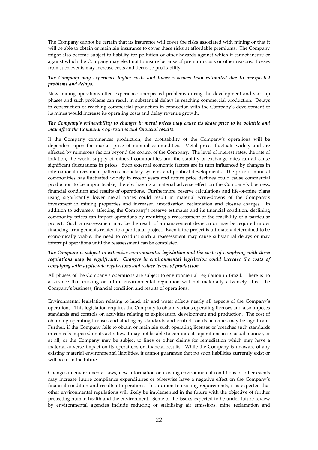The Company cannot be certain that its insurance will cover the risks associated with mining or that it will be able to obtain or maintain insurance to cover these risks at affordable premiums. The Company might also become subject to liability for pollution or other hazards against which it cannot insure or against which the Company may elect not to insure because of premium costs or other reasons. Losses from such events may increase costs and decrease profitability.

## *The Company may experience higher costs and lower revenues than estimated due to unexpected problems and delays.*

New mining operations often experience unexpected problems during the development and start-up phases and such problems can result in substantial delays in reaching commercial production. Delays in construction or reaching commercial production in connection with the Company's development of its mines would increase its operating costs and delay revenue growth.

## *The Company's vulnerability to changes in metal prices may cause its share price to be volatile and may affect the Company's operations and financial results.*

If the Company commences production, the profitability of the Company's operations will be dependent upon the market price of mineral commodities. Metal prices fluctuate widely and are affected by numerous factors beyond the control of the Company. The level of interest rates, the rate of inflation, the world supply of mineral commodities and the stability of exchange rates can all cause significant fluctuations in prices. Such external economic factors are in turn influenced by changes in international investment patterns, monetary systems and political developments. The price of mineral commodities has fluctuated widely in recent years and future price declines could cause commercial production to be impracticable, thereby having a material adverse effect on the Company's business, financial condition and results of operations. Furthermore, reserve calculations and life-of-mine plans using significantly lower metal prices could result in material write-downs of the Company's investment in mining properties and increased amortization, reclamation and closure charges. In addition to adversely affecting the Company's reserve estimates and its financial condition, declining commodity prices can impact operations by requiring a reassessment of the feasibility of a particular project. Such a reassessment may be the result of a management decision or may be required under financing arrangements related to a particular project. Even if the project is ultimately determined to be economically viable, the need to conduct such a reassessment may cause substantial delays or may interrupt operations until the reassessment can be completed.

## *The Company is subject to extensive environmental legislation and the costs of complying with these regulations may be significant. Changes in environmental legislation could increase the costs of complying with applicable regulations and reduce levels of production.*

All phases of the Company's operations are subject to environmental regulation in Brazil. There is no assurance that existing or future environmental regulation will not materially adversely affect the Company's business, financial condition and results of operations.

Environmental legislation relating to land, air and water affects nearly all aspects of the Company's operations. This legislation requires the Company to obtain various operating licenses and also imposes standards and controls on activities relating to exploration, development and production. The cost of obtaining operating licenses and abiding by standards and controls on its activities may be significant. Further, if the Company fails to obtain or maintain such operating licenses or breaches such standards or controls imposed on its activities, it may not be able to continue its operations in its usual manner, or at all, or the Company may be subject to fines or other claims for remediation which may have a material adverse impact on its operations or financial results. While the Company is unaware of any existing material environmental liabilities, it cannot guarantee that no such liabilities currently exist or will occur in the future.

Changes in environmental laws, new information on existing environmental conditions or other events may increase future compliance expenditures or otherwise have a negative effect on the Company's financial condition and results of operations. In addition to existing requirements, it is expected that other environmental regulations will likely be implemented in the future with the objective of further protecting human health and the environment. Some of the issues expected to be under future review by environmental agencies include reducing or stabilising air emissions, mine reclamation and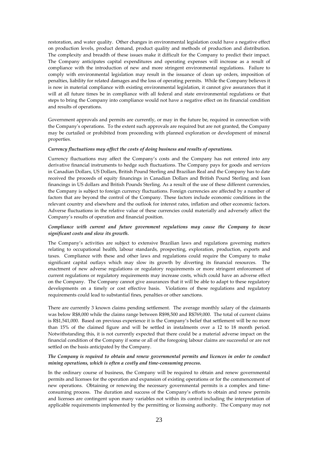restoration, and water quality. Other changes in environmental legislation could have a negative effect on production levels, product demand, product quality and methods of production and distribution. The complexity and breadth of these issues make it difficult for the Company to predict their impact. The Company anticipates capital expenditures and operating expenses will increase as a result of compliance with the introduction of new and more stringent environmental regulations. Failure to comply with environmental legislation may result in the issuance of clean up orders, imposition of penalties, liability for related damages and the loss of operating permits. While the Company believes it is now in material compliance with existing environmental legislation, it cannot give assurances that it will at all future times be in compliance with all federal and state environmental regulations or that steps to bring the Company into compliance would not have a negative effect on its financial condition and results of operations.

Government approvals and permits are currently, or may in the future be, required in connection with the Company's operations. To the extent such approvals are required but are not granted, the Company may be curtailed or prohibited from proceeding with planned exploration or development of mineral properties.

## *Currency fluctuations may affect the costs of doing business and results of operations.*

Currency fluctuations may affect the Company's costs and the Company has not entered into any derivative financial instruments to hedge such fluctuations. The Company pays for goods and services in Canadian Dollars, US Dollars, British Pound Sterling and Brazilian Real and the Company has to date received the proceeds of equity financings in Canadian Dollars and British Pound Sterling and loan financings in US dollars and British Pounds Sterling. As a result of the use of these different currencies, the Company is subject to foreign currency fluctuations. Foreign currencies are affected by a number of factors that are beyond the control of the Company. These factors include economic conditions in the relevant country and elsewhere and the outlook for interest rates, inflation and other economic factors. Adverse fluctuations in the relative value of these currencies could materially and adversely affect the Company's results of operation and financial position.

# *Compliance with current and future government regulations may cause the Company to incur significant costs and slow its growth.*

The Company's activities are subject to extensive Brazilian laws and regulations governing matters relating to occupational health, labour standards, prospecting, exploration, production, exports and taxes. Compliance with these and other laws and regulations could require the Company to make significant capital outlays which may slow its growth by diverting its financial resources. The enactment of new adverse regulations or regulatory requirements or more stringent enforcement of current regulations or regulatory requirements may increase costs, which could have an adverse effect on the Company. The Company cannot give assurances that it will be able to adapt to these regulatory developments on a timely or cost effective basis. Violations of these regulations and regulatory requirements could lead to substantial fines, penalties or other sanctions.

There are currently 3 known claims pending settlement. The average monthly salary of the claimants was below R\$8,000 while the claims range between R\$98,500 and R\$769,000. The total of current claims is R\$1,541,000. Based on previous experience it is the Company's belief that settlement will be no more than 15% of the claimed figure and will be settled in instalments over a 12 to 18 month period. Notwithstanding this, it is not currently expected that there could be a material adverse impact on the financial condition of the Company if some or all of the foregoing labour claims are successful or are not settled on the basis anticipated by the Company.

## *The Company is required to obtain and renew governmental permits and licences in order to conduct mining operations, which is often a costly and time-consuming process.*

In the ordinary course of business, the Company will be required to obtain and renew governmental permits and licenses for the operation and expansion of existing operations or for the commencement of new operations. Obtaining or renewing the necessary governmental permits is a complex and timeconsuming process. The duration and success of the Company's efforts to obtain and renew permits and licenses are contingent upon many variables not within its control including the interpretation of applicable requirements implemented by the permitting or licensing authority. The Company may not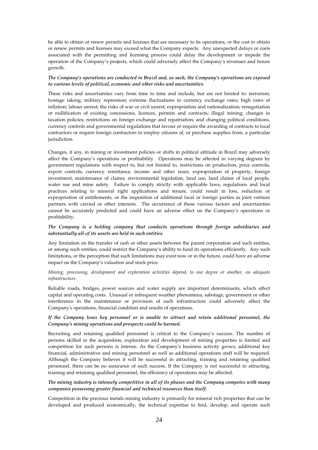be able to obtain or renew permits and licenses that are necessary to its operations, or the cost to obtain or renew permits and licenses may exceed what the Company expects. Any unexpected delays or costs associated with the permitting and licensing process could delay the development or impede the operation of the Company's projects, which could adversely affect the Company's revenues and future growth.

## *The Company's operations are conducted in Brazil and, as such, the Company's operations are exposed to various levels of political, economic and other risks and uncertainties.*

These risks and uncertainties vary from time to time and include, but are not limited to: terrorism; hostage taking; military repression; extreme fluctuations in currency exchange rates; high rates of inflation; labour unrest; the risks of war or civil unrest; expropriation and nationalization; renegotiation or nullification of existing concessions, licences, permits and contracts; illegal mining; changes in taxation policies; restrictions on foreign exchange and repatriation; and changing political conditions, currency controls and governmental regulations that favour or require the awarding of contracts to local contractors or require foreign contractors to employ citizens of, or purchase supplies from, a particular jurisdiction.

Changes, if any, in mining or investment policies or shifts in political attitude in Brazil may adversely affect the Company's operations or profitability. Operations may be affected in varying degrees by government regulations with respect to, but not limited to, restrictions on production, price controls, export controls, currency remittance, income and other taxes, expropriation of property, foreign investment, maintenance of claims, environmental legislation, land use, land claims of local people, water use and mine safety. Failure to comply strictly with applicable laws, regulations and local practices relating to mineral right applications and tenure, could result in loss, reduction or expropriation of entitlements, or the imposition of additional local or foreign parties as joint venture partners with carried or other interests. The occurrence of these various factors and uncertainties cannot be accurately predicted and could have an adverse effect on the Company's operations or profitability.

# *The Company is a holding company that conducts operations through foreign subsidiaries and substantially all of its assets are held in such entities.*

Any limitation on the transfer of cash or other assets between the parent corporation and such entities, or among such entities, could restrict the Company's ability to fund its operations efficiently. Any such limitations, or the perception that such limitations may exist now or in the future, could have an adverse impact on the Company's valuation and stock price.

# *Mining, processing, development and exploration activities depend, to one degree or another, on adequate infrastructure.*

Reliable roads, bridges, power sources and water supply are important determinants, which affect capital and operating costs. Unusual or infrequent weather phenomena, sabotage, government or other interference in the maintenance or provision of such infrastructure could adversely affect the Company's operations, financial condition and results of operations.

# *If the Company loses key personnel or is unable to attract and retain additional personnel, the Company's mining operations and prospects could be harmed.*

Recruiting and retaining qualified personnel is critical to the Company's success. The number of persons skilled in the acquisition, exploration and development of mining properties is limited and competition for such persons is intense. As the Company's business activity grows, additional key financial, administrative and mining personnel as well as additional operations staff will be required. Although the Company believes it will be successful in attracting, training and retaining qualified personnel, there can be no assurance of such success. If the Company is not successful in attracting, training and retaining qualified personnel, the efficiency of operations may be affected.

# *The mining industry is intensely competitive in all of its phases and the Company competes with many companies possessing greater financial and technical resources than itself.*

Competition in the precious metals mining industry is primarily for mineral rich properties that can be developed and produced economically; the technical expertise to find, develop, and operate such